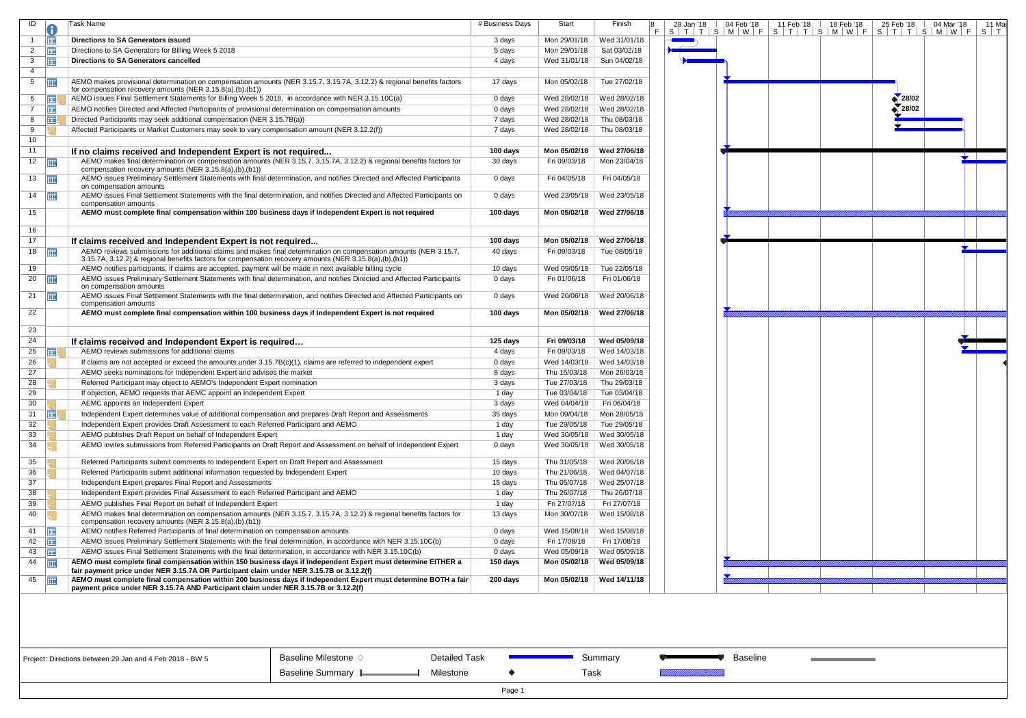| ID             | 0          | Task Name                                                                                                                                                                                                                    | # Business Days | Start        | Finish       | 8<br>F | 28 Jan '18 | 04 Feb '18<br>$S$   T   T   S   M   W   F | 11 F<br>$S$   $\overline{S}$ |
|----------------|------------|------------------------------------------------------------------------------------------------------------------------------------------------------------------------------------------------------------------------------|-----------------|--------------|--------------|--------|------------|-------------------------------------------|------------------------------|
| $\overline{1}$ | <b>FIE</b> | <b>Directions to SA Generators issued</b>                                                                                                                                                                                    | 3 days          | Mon 29/01/18 | Wed 31/01/18 |        |            |                                           |                              |
| $\overline{2}$ | <b>III</b> | Directions to SA Generators for Billing Week 5 2018                                                                                                                                                                          | 5 days          | Mon 29/01/18 | Sat 03/02/18 |        |            |                                           |                              |
| 3              | <b>III</b> | Directions to SA Generators cancelled                                                                                                                                                                                        | 4 days          | Wed 31/01/18 | Sun 04/02/18 |        |            |                                           |                              |
| 4              |            |                                                                                                                                                                                                                              |                 |              |              |        |            |                                           |                              |
| 5              | 亜          | AEMO makes provisional determination on compensation amounts (NER 3.15.7, 3.15.7A, 3.12.2) & regional benefits factors<br>for compensation recovery amounts (NER 3.15.8(a),(b),(b1))                                         | 17 days         | Mon 05/02/18 | Tue 27/02/18 |        |            |                                           |                              |
| 6              | 噩          | AEMO issues Final Settlement Statements for Billing Week 5 2018, in accordance with NER 3.15.10C(a)                                                                                                                          | 0 days          | Wed 28/02/18 | Wed 28/02/18 |        |            |                                           |                              |
| $\overline{7}$ | <b>III</b> | AEMO notifies Directed and Affected Participants of provisional determination on compensation amounts                                                                                                                        | 0 days          | Wed 28/02/18 | Wed 28/02/18 |        |            |                                           |                              |
| 8              | 噩          | Directed Participants may seek additional compensation (NER 3.15.7B(a))                                                                                                                                                      | 7 days          | Wed 28/02/18 | Thu 08/03/18 |        |            |                                           |                              |
| 9              |            | Affected Participants or Market Customers may seek to vary compensation amount (NER 3.12.2(f))                                                                                                                               | 7 days          | Wed 28/02/18 | Thu 08/03/18 |        |            |                                           |                              |
| 10             |            |                                                                                                                                                                                                                              |                 |              |              |        |            |                                           |                              |
| 11             |            | If no claims received and Independent Expert is not required                                                                                                                                                                 | 100 days        | Mon 05/02/18 | Wed 27/06/18 |        |            |                                           |                              |
| 12             | m          | AEMO makes final determination on compensation amounts (NER 3.15.7, 3.15.7A, 3.12.2) & regional benefits factors for                                                                                                         | 30 days         | Fri 09/03/18 | Mon 23/04/18 |        |            |                                           |                              |
|                |            | compensation recovery amounts (NER 3.15.8(a),(b),(b1))                                                                                                                                                                       |                 |              |              |        |            |                                           |                              |
| 13             | 噩          | AEMO issues Preliminary Settlement Statements with final determination, and notifies Directed and Affected Participants<br>on compensation amounts                                                                           | 0 days          | Fri 04/05/18 | Fri 04/05/18 |        |            |                                           |                              |
| 14             | 噩          | AEMO issues Final Settlement Statements with the final determination, and notifies Directed and Affected Participants on<br>compensation amounts                                                                             | 0 days          | Wed 23/05/18 | Wed 23/05/18 |        |            |                                           |                              |
| 15             |            | AEMO must complete final compensation within 100 business days if Independent Expert is not required                                                                                                                         | 100 days        | Mon 05/02/18 | Wed 27/06/18 |        |            |                                           |                              |
| 16<br>17       |            |                                                                                                                                                                                                                              | 100 days        | Mon 05/02/18 | Wed 27/06/18 |        |            |                                           |                              |
|                |            | If claims received and Independent Expert is not required                                                                                                                                                                    |                 |              |              |        |            |                                           |                              |
| 18             | m          | AEMO reviews submissions for additional claims and makes final determination on compensation amounts (NER 3.15.7,<br>3.15.7A, 3.12.2) & regional benefits factors for compensation recovery amounts (NER 3.15.8(a),(b),(b1)) | 40 days         | Fri 09/03/18 | Tue 08/05/18 |        |            |                                           |                              |
| 19             |            | AEMO notifies participants, if claims are accepted, payment will be made in next available billing cycle                                                                                                                     | 10 days         | Wed 09/05/18 | Tue 22/05/18 |        |            |                                           |                              |
| 20             | 亜          | AEMO issues Preliminary Settlement Statements with final determination, and notifies Directed and Affected Participants<br>on compensation amounts                                                                           | 0 days          | Fri 01/06/18 | Fri 01/06/18 |        |            |                                           |                              |
| 21             | 噩          | AEMO issues Final Settlement Statements with the final determination, and notifies Directed and Affected Participants on<br>compensation amounts                                                                             | 0 days          | Wed 20/06/18 | Wed 20/06/18 |        |            |                                           |                              |
| 22             |            | AEMO must complete final compensation within 100 business days if Independent Expert is not required                                                                                                                         | 100 days        | Mon 05/02/18 | Wed 27/06/18 |        |            |                                           |                              |
| 23             |            |                                                                                                                                                                                                                              |                 |              |              |        |            |                                           |                              |
| 24             |            | If claims received and Independent Expert is required                                                                                                                                                                        | 125 days        | Fri 09/03/18 | Wed 05/09/18 |        |            |                                           |                              |
| 25             | m,         | AEMO reviews submissions for additional claims                                                                                                                                                                               | 4 days          | Fri 09/03/18 | Wed 14/03/18 |        |            |                                           |                              |
| 26             |            | If claims are not accepted or exceed the amounts under 3.15.7B(c)(1), claims are referred to independent expert                                                                                                              | 0 days          | Wed 14/03/18 | Wed 14/03/18 |        |            |                                           |                              |
| 27             |            | AEMO seeks nominations for Independent Expert and advises the market                                                                                                                                                         | 8 days          | Thu 15/03/18 | Mon 26/03/18 |        |            |                                           |                              |
| 28             |            | Referred Participant may object to AEMO's Independent Expert nomination                                                                                                                                                      | 3 days          | Tue 27/03/18 | Thu 29/03/18 |        |            |                                           |                              |
| 29             |            | If objection, AEMO requests that AEMC appoint an Independent Expert                                                                                                                                                          | 1 day           | Tue 03/04/18 | Tue 03/04/18 |        |            |                                           |                              |
| 30             |            | AEMC appoints an Independent Expert                                                                                                                                                                                          | 3 days          | Wed 04/04/18 | Fri 06/04/18 |        |            |                                           |                              |
| 31             | ⊞          | Independent Expert determines value of additional compensation and prepares Draft Report and Assessments                                                                                                                     | 35 days         | Mon 09/04/18 | Mon 28/05/18 |        |            |                                           |                              |
| 32             |            | Independent Expert provides Draft Assessment to each Referred Participant and AEMO                                                                                                                                           | 1 day           | Tue 29/05/18 | Tue 29/05/18 |        |            |                                           |                              |
| 33             |            | AEMO publishes Draft Report on behalf of Independent Expert                                                                                                                                                                  | 1 day           | Wed 30/05/18 | Wed 30/05/18 |        |            |                                           |                              |
| 34             |            | AEMO invites submissions from Referred Participants on Draft Report and Assessment on behalf of Independent Expert                                                                                                           | 0 days          | Wed 30/05/18 | Wed 30/05/18 |        |            |                                           |                              |
| 35             |            | Referred Participants submit comments to Independent Expert on Draft Report and Assessment                                                                                                                                   | 15 days         | Thu 31/05/18 | Wed 20/06/18 |        |            |                                           |                              |
| 36             |            | Referred Participants submit additional information requested by Independent Expert                                                                                                                                          | 10 days         | Thu 21/06/18 | Wed 04/07/18 |        |            |                                           |                              |
| 37             |            | Independent Expert prepares Final Report and Assessments                                                                                                                                                                     | 15 days         | Thu 05/07/18 | Wed 25/07/18 |        |            |                                           |                              |
| 38             |            | Independent Expert provides Final Assessment to each Referred Participant and AEMO                                                                                                                                           | 1 day           | Thu 26/07/18 | Thu 26/07/18 |        |            |                                           |                              |
| 39             |            | AEMO publishes Final Report on behalf of Independent Expert                                                                                                                                                                  | 1 day           | Fri 27/07/18 | Fri 27/07/18 |        |            |                                           |                              |
| 40             |            | AEMO makes final determination on compensation amounts (NER 3.15.7, 3.15.7A, 3.12.2) & regional benefits factors for<br>compensation recovery amounts (NER 3.15.8(a),(b),(b1))                                               | 13 days         | Mon 30/07/18 | Wed 15/08/18 |        |            |                                           |                              |
| 41             | <b>III</b> | AEMO notifies Referred Participants of final determination on compensation amounts                                                                                                                                           | 0 days          | Wed 15/08/18 | Wed 15/08/18 |        |            |                                           |                              |
| 42             | <b>HE</b>  | AEMO issues Preliminary Settlement Statements with the final determination, in accordance with NER 3.15.10C(b)                                                                                                               | 0 days          | Fri 17/08/18 | Fri 17/08/18 |        |            |                                           |                              |
| 43             | <b>III</b> | AEMO issues Final Settlement Statements with the final determination, in accordance with NER 3.15.10C(b)                                                                                                                     | 0 days          | Wed 05/09/18 | Wed 05/09/18 |        |            |                                           |                              |
| 44             | <b>FIE</b> | AEMO must complete final compensation within 150 business days if Independent Expert must determine EITHER a                                                                                                                 | 150 days        | Mon 05/02/18 | Wed 05/09/18 |        |            |                                           |                              |
| 45             | <b>HIE</b> | fair payment price under NER 3.15.7A OR Participant claim under NER 3.15.7B or 3.12.2(f)<br>AEMO must complete final compensation within 200 business days if Independent Expert must determine BOTH a fair                  | 200 days        | Mon 05/02/18 | Wed 14/11/18 |        |            |                                           |                              |
|                |            | payment price under NER 3.15.7A AND Participant claim under NER 3.15.7B or 3.12.2(f)                                                                                                                                         |                 |              |              |        |            |                                           |                              |
|                |            |                                                                                                                                                                                                                              |                 |              |              |        |            |                                           |                              |



Detailed Task

Milestone

Summary

Task

**Baseline** 

Page 1

 $\blacklozenge$ 

Project: Directions between 29 Jan and 4 Feb 2018 - BW 5

Baseline Milestone  $\diamond$ Baseline Summary L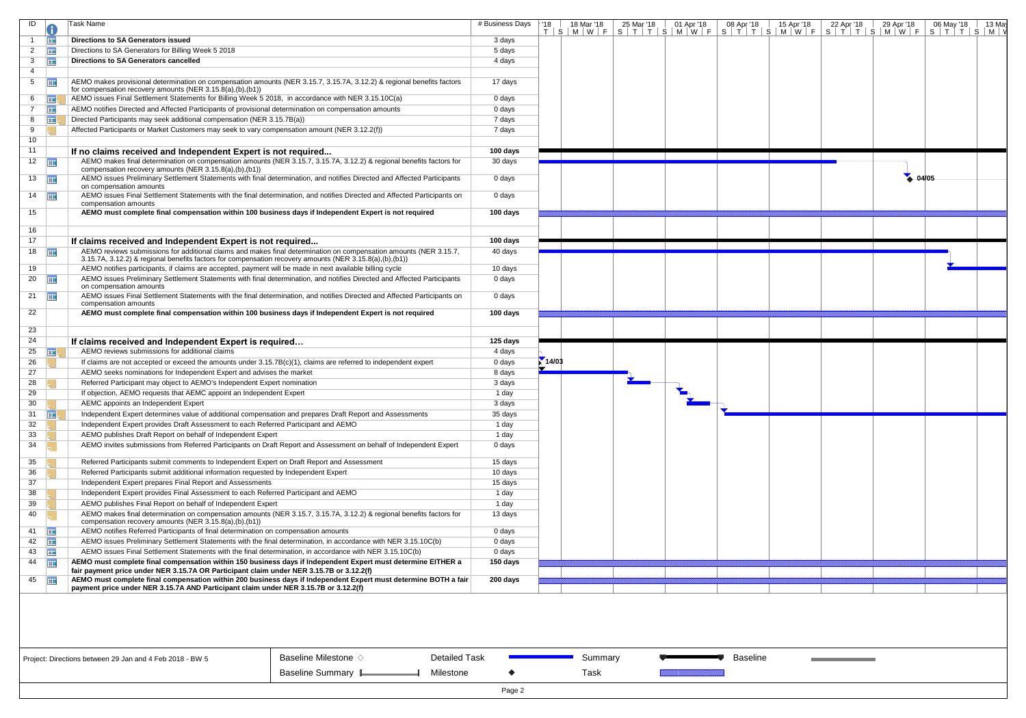| ID             |                       | Task Name                                                                                                                                                                                                                    | # Business Days | · '18 | 18 Mar '18 | 25 Mar '18 | 01 Apr '18 | 08 Apr '18      | 15 Apr '18 | 22 Apr '18 | 29 Apr '18 | 06 May '18<br>13 May                                                    |
|----------------|-----------------------|------------------------------------------------------------------------------------------------------------------------------------------------------------------------------------------------------------------------------|-----------------|-------|------------|------------|------------|-----------------|------------|------------|------------|-------------------------------------------------------------------------|
|                |                       |                                                                                                                                                                                                                              |                 |       |            |            |            |                 |            |            |            | T S M W F S T T S M W F S T T S M W F S T T S M W F S M W F S T T S M W |
|                | 亜                     | Directions to SA Generators issued                                                                                                                                                                                           | 3 days          |       |            |            |            |                 |            |            |            |                                                                         |
| $\overline{2}$ | <b>THE</b>            | Directions to SA Generators for Billing Week 5 2018                                                                                                                                                                          | 5 days          |       |            |            |            |                 |            |            |            |                                                                         |
| 3              | 噩                     | <b>Directions to SA Generators cancelled</b>                                                                                                                                                                                 | 4 days          |       |            |            |            |                 |            |            |            |                                                                         |
| 4              |                       |                                                                                                                                                                                                                              |                 |       |            |            |            |                 |            |            |            |                                                                         |
| 5              | 再                     | AEMO makes provisional determination on compensation amounts (NER 3.15.7, 3.15.7A, 3.12.2) & regional benefits factors                                                                                                       | 17 days         |       |            |            |            |                 |            |            |            |                                                                         |
|                |                       | for compensation recovery amounts (NER 3.15.8(a),(b),(b1))                                                                                                                                                                   |                 |       |            |            |            |                 |            |            |            |                                                                         |
| 6              | <b>HE.</b>            | AEMO issues Final Settlement Statements for Billing Week 5 2018, in accordance with NER 3.15.10C(a)                                                                                                                          | 0 days          |       |            |            |            |                 |            |            |            |                                                                         |
| $7^{\circ}$    | ⊞                     | AEMO notifies Directed and Affected Participants of provisional determination on compensation amounts                                                                                                                        | 0 days          |       |            |            |            |                 |            |            |            |                                                                         |
| 8              | ⊞!                    | Directed Participants may seek additional compensation (NER 3.15.7B(a))                                                                                                                                                      | 7 days          |       |            |            |            |                 |            |            |            |                                                                         |
| 9              |                       | Affected Participants or Market Customers may seek to vary compensation amount (NER 3.12.2(f))                                                                                                                               | 7 days          |       |            |            |            |                 |            |            |            |                                                                         |
| 10             |                       |                                                                                                                                                                                                                              |                 |       |            |            |            |                 |            |            |            |                                                                         |
| 11             |                       | If no claims received and Independent Expert is not required                                                                                                                                                                 | 100 days        |       |            |            |            |                 |            |            |            |                                                                         |
|                | 12                    | AEMO makes final determination on compensation amounts (NER 3.15.7, 3.15.7A, 3.12.2) & regional benefits factors for                                                                                                         | 30 days         |       |            |            |            |                 |            |            |            |                                                                         |
|                |                       | compensation recovery amounts (NER 3.15.8(a),(b),(b1))                                                                                                                                                                       |                 |       |            |            |            |                 |            |            |            |                                                                         |
|                | 13                    | AEMO issues Preliminary Settlement Statements with final determination, and notifies Directed and Affected Participants                                                                                                      | 0 days          |       |            |            |            |                 |            |            | 4.04/05    |                                                                         |
|                |                       | on compensation amounts                                                                                                                                                                                                      |                 |       |            |            |            |                 |            |            |            |                                                                         |
|                | $14$ $\Box$           | AEMO issues Final Settlement Statements with the final determination, and notifies Directed and Affected Participants on                                                                                                     | 0 days          |       |            |            |            |                 |            |            |            |                                                                         |
|                |                       | compensation amounts                                                                                                                                                                                                         |                 |       |            |            |            |                 |            |            |            |                                                                         |
| 15             |                       | AEMO must complete final compensation within 100 business days if Independent Expert is not required                                                                                                                         | 100 days        |       |            |            |            |                 |            |            |            |                                                                         |
| 16             |                       |                                                                                                                                                                                                                              |                 |       |            |            |            |                 |            |            |            |                                                                         |
| 17             |                       |                                                                                                                                                                                                                              | 100 days        |       |            |            |            |                 |            |            |            |                                                                         |
|                |                       | If claims received and Independent Expert is not required                                                                                                                                                                    |                 |       |            |            |            |                 |            |            |            |                                                                         |
|                | 18                    | AEMO reviews submissions for additional claims and makes final determination on compensation amounts (NER 3.15.7,<br>3.15.7A, 3.12.2) & regional benefits factors for compensation recovery amounts (NER 3.15.8(a),(b),(b1)) | 40 days         |       |            |            |            |                 |            |            |            |                                                                         |
| 19             |                       | AEMO notifies participants, if claims are accepted, payment will be made in next available billing cycle                                                                                                                     | 10 days         |       |            |            |            |                 |            |            |            |                                                                         |
|                | 20                    | AEMO issues Preliminary Settlement Statements with final determination, and notifies Directed and Affected Participants                                                                                                      | 0 days          |       |            |            |            |                 |            |            |            |                                                                         |
|                |                       | on compensation amounts                                                                                                                                                                                                      |                 |       |            |            |            |                 |            |            |            |                                                                         |
|                | 21 $\frac{1}{2}$      | AEMO issues Final Settlement Statements with the final determination, and notifies Directed and Affected Participants on                                                                                                     | 0 days          |       |            |            |            |                 |            |            |            |                                                                         |
|                |                       | compensation amounts                                                                                                                                                                                                         |                 |       |            |            |            |                 |            |            |            |                                                                         |
| 22             |                       | AEMO must complete final compensation within 100 business days if Independent Expert is not required                                                                                                                         | 100 days        |       |            |            |            |                 |            |            |            |                                                                         |
|                |                       |                                                                                                                                                                                                                              |                 |       |            |            |            |                 |            |            |            |                                                                         |
| 23             |                       |                                                                                                                                                                                                                              |                 |       |            |            |            |                 |            |            |            |                                                                         |
| 24             |                       | If claims received and Independent Expert is required                                                                                                                                                                        | 125 days        |       |            |            |            |                 |            |            |            |                                                                         |
| 25             | <b>FIEL</b>           | AEMO reviews submissions for additional claims                                                                                                                                                                               | 4 days          |       |            |            |            |                 |            |            |            |                                                                         |
| 26             |                       | If claims are not accepted or exceed the amounts under 3.15.7B(c)(1), claims are referred to independent expert                                                                                                              | 0 days          | 14/03 |            |            |            |                 |            |            |            |                                                                         |
| 27             |                       |                                                                                                                                                                                                                              |                 |       |            |            |            |                 |            |            |            |                                                                         |
|                |                       | AEMO seeks nominations for Independent Expert and advises the market                                                                                                                                                         | 8 days          |       |            |            |            |                 |            |            |            |                                                                         |
| 28             |                       | Referred Participant may object to AEMO's Independent Expert nomination                                                                                                                                                      | 3 days          |       |            |            |            |                 |            |            |            |                                                                         |
| 29             |                       | If objection, AEMO requests that AEMC appoint an Independent Expert                                                                                                                                                          | 1 day           |       |            |            |            |                 |            |            |            |                                                                         |
| 30             |                       | AEMC appoints an Independent Expert                                                                                                                                                                                          | 3 days          |       |            |            |            |                 |            |            |            |                                                                         |
| 31             | 噩                     | Independent Expert determines value of additional compensation and prepares Draft Report and Assessments                                                                                                                     | 35 days         |       |            |            |            |                 |            |            |            |                                                                         |
| 32             |                       | Independent Expert provides Draft Assessment to each Referred Participant and AEMO                                                                                                                                           | 1 day           |       |            |            |            |                 |            |            |            |                                                                         |
| 33             |                       | AEMO publishes Draft Report on behalf of Independent Expert                                                                                                                                                                  | 1 day           |       |            |            |            |                 |            |            |            |                                                                         |
| 34             |                       | AEMO invites submissions from Referred Participants on Draft Report and Assessment on behalf of Independent Expert                                                                                                           | 0 days          |       |            |            |            |                 |            |            |            |                                                                         |
|                |                       |                                                                                                                                                                                                                              |                 |       |            |            |            |                 |            |            |            |                                                                         |
| 35             |                       | Referred Participants submit comments to Independent Expert on Draft Report and Assessment                                                                                                                                   | 15 days         |       |            |            |            |                 |            |            |            |                                                                         |
| 36             |                       | Referred Participants submit additional information requested by Independent Expert                                                                                                                                          | 10 days         |       |            |            |            |                 |            |            |            |                                                                         |
| 37             |                       | Independent Expert prepares Final Report and Assessments                                                                                                                                                                     | 15 days         |       |            |            |            |                 |            |            |            |                                                                         |
| 38             |                       | Independent Expert provides Final Assessment to each Referred Participant and AEMO                                                                                                                                           | 1 day           |       |            |            |            |                 |            |            |            |                                                                         |
| 39             |                       | AEMO publishes Final Report on behalf of Independent Expert                                                                                                                                                                  | 1 day           |       |            |            |            |                 |            |            |            |                                                                         |
| 40             |                       | AEMO makes final determination on compensation amounts (NER 3.15.7, 3.15.7A, 3.12.2) & regional benefits factors for                                                                                                         | 13 days         |       |            |            |            |                 |            |            |            |                                                                         |
|                |                       | compensation recovery amounts (NER 3.15.8(a),(b),(b1))                                                                                                                                                                       |                 |       |            |            |            |                 |            |            |            |                                                                         |
| 41             | 用                     | AEMO notifies Referred Participants of final determination on compensation amounts                                                                                                                                           | 0 days          |       |            |            |            |                 |            |            |            |                                                                         |
| $42$ $\Box$    |                       | AEMO issues Preliminary Settlement Statements with the final determination, in accordance with NER 3.15.10C(b)                                                                                                               | 0 days          |       |            |            |            |                 |            |            |            |                                                                         |
|                | $43 \quad \boxed{11}$ | AEMO issues Final Settlement Statements with the final determination, in accordance with NER 3.15.10C(b)                                                                                                                     | 0 days          |       |            |            |            |                 |            |            |            |                                                                         |
|                | 44                    | AEMO must complete final compensation within 150 business days if Independent Expert must determine EITHER a                                                                                                                 | 150 days        |       |            |            |            |                 |            |            |            |                                                                         |
|                |                       | fair payment price under NER 3.15.7A OR Participant claim under NER 3.15.7B or 3.12.2(f)                                                                                                                                     |                 |       |            |            |            |                 |            |            |            |                                                                         |
|                | 45                    | AEMO must complete final compensation within 200 business days if Independent Expert must determine BOTH a fair                                                                                                              | 200 days        |       |            |            |            |                 |            |            |            |                                                                         |
|                |                       | payment price under NER 3.15.7A AND Participant claim under NER 3.15.7B or 3.12.2(f)                                                                                                                                         |                 |       |            |            |            |                 |            |            |            |                                                                         |
|                |                       |                                                                                                                                                                                                                              |                 |       |            |            |            |                 |            |            |            |                                                                         |
|                |                       |                                                                                                                                                                                                                              |                 |       |            |            |            |                 |            |            |            |                                                                         |
|                |                       |                                                                                                                                                                                                                              |                 |       |            |            |            |                 |            |            |            |                                                                         |
|                |                       | Baseline Milestone $\diamond$<br><b>Detailed Task</b><br>Project: Directions between 29 Jan and 4 Feb 2018 - BW 5                                                                                                            |                 |       | Summary    |            |            | <b>Baseline</b> |            |            |            |                                                                         |
|                |                       | Baseline Summary L<br>Milestone                                                                                                                                                                                              |                 |       | Task       |            |            |                 |            |            |            |                                                                         |
|                |                       |                                                                                                                                                                                                                              | Page 2          |       |            |            |            |                 |            |            |            |                                                                         |

|  |  | Project: Directions between 29 Jan and 4 Feb 2018 - BW |
|--|--|--------------------------------------------------------|
|--|--|--------------------------------------------------------|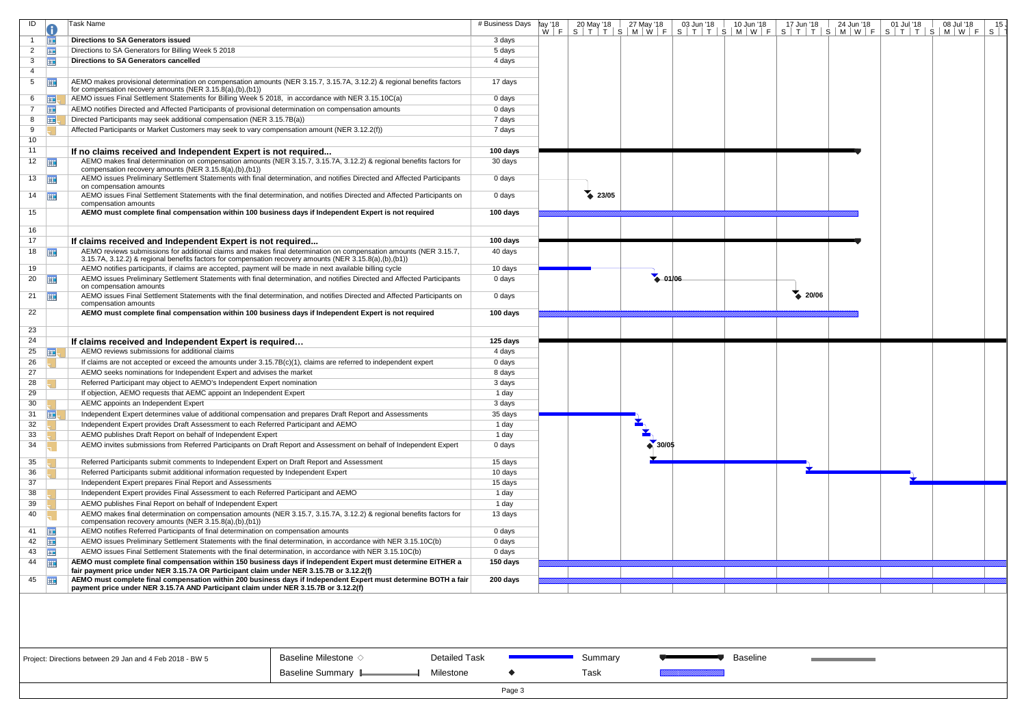| $W \mid F \mid S \mid T \mid T \mid S \mid M \mid W \mid F \mid S \mid T \mid T \mid S \mid M \mid W \mid F \mid S \mid T \mid T \mid S \mid M \mid W \mid F \mid S \mid T \mid T \mid S \mid M \mid W \mid F \mid S \mid T$<br><b>Directions to SA Generators issued</b><br>亜<br>3 days<br>E.<br>Directions to SA Generators for Billing Week 5 2018<br>2<br>5 days<br>Ħ<br>3<br>Directions to SA Generators cancelled<br>4 days<br>4<br>霊<br>AEMO makes provisional determination on compensation amounts (NER 3.15.7, 3.15.7A, 3.12.2) & regional benefits factors<br>5<br>17 days<br>for compensation recovery amounts (NER 3.15.8(a),(b),(b1))<br>AEMO issues Final Settlement Statements for Billing Week 5 2018, in accordance with NER 3.15.10C(a)<br>0 days<br>6<br><b>Expertise</b><br>⊞<br>AEMO notifies Directed and Affected Participants of provisional determination on compensation amounts<br>0 days<br>噩<br>Directed Participants may seek additional compensation (NER 3.15.7B(a))<br>7 days<br>8<br>Affected Participants or Market Customers may seek to vary compensation amount (NER 3.12.2(f))<br>9<br>7 days<br>10 <sup>°</sup><br>11<br>100 days<br>If no claims received and Independent Expert is not required<br>AEMO makes final determination on compensation amounts (NER 3.15.7, 3.15.7A, 3.12.2) & regional benefits factors for<br>$12$ $\frac{1}{111}$<br>30 days<br>compensation recovery amounts (NER 3.15.8(a),(b),(b1))<br>AEMO issues Preliminary Settlement Statements with final determination, and notifies Directed and Affected Participants<br>$13 \quad \boxed{11}$<br>0 days<br>on compensation amounts<br>23/05<br>$14$ $\Box$<br>AEMO issues Final Settlement Statements with the final determination, and notifies Directed and Affected Participants on<br>0 days<br>compensation amounts<br>15<br>AEMO must complete final compensation within 100 business days if Independent Expert is not required<br>100 days<br>16<br>17<br>100 days<br>If claims received and Independent Expert is not required<br>AEMO reviews submissions for additional claims and makes final determination on compensation amounts (NER 3.15.7,<br>$18$ $\Box$<br>40 days<br>3.15.7A, 3.12.2) & regional benefits factors for compensation recovery amounts (NER 3.15.8(a),(b),(b1))<br>AEMO notifies participants, if claims are accepted, payment will be made in next available billing cycle<br>10 days<br>19<br>$-01/06$<br>AEMO issues Preliminary Settlement Statements with final determination, and notifies Directed and Affected Participants<br>20<br>亜<br>0 days<br>on compensation amounts<br>20/06<br>AEMO issues Final Settlement Statements with the final determination, and notifies Directed and Affected Participants on<br>21 $\frac{1}{2}$<br>0 days<br>compensation amounts<br>AEMO must complete final compensation within 100 business days if Independent Expert is not required<br>100 days<br>22<br>23<br>24<br>125 days<br>If claims received and Independent Expert is required<br>25<br>AEMO reviews submissions for additional claims<br>4 days<br>⊞<br>26<br>If claims are not accepted or exceed the amounts under 3.15.7B(c)(1), claims are referred to independent expert<br>0 days<br>AEMO seeks nominations for Independent Expert and advises the market<br>27<br>8 days<br>28<br>Referred Participant may object to AEMO's Independent Expert nomination<br>3 days<br>29<br>If objection, AEMO requests that AEMC appoint an Independent Expert<br>1 day<br>30<br>AEMC appoints an Independent Expert<br>3 days<br>31 $\mathbf{H}$<br>Independent Expert determines value of additional compensation and prepares Draft Report and Assessments<br>35 days<br>32<br>Independent Expert provides Draft Assessment to each Referred Participant and AEMO<br>1 day<br>33<br>AEMO publishes Draft Report on behalf of Independent Expert<br>1 day<br>$\bullet$ 30/05<br>34<br>AEMO invites submissions from Referred Participants on Draft Report and Assessment on behalf of Independent Expert<br>0 days<br>35<br>Referred Participants submit comments to Independent Expert on Draft Report and Assessment<br>15 days<br>36<br>Referred Participants submit additional information requested by Independent Expert<br>10 days<br>37<br>Independent Expert prepares Final Report and Assessments<br>15 days<br>38<br>Independent Expert provides Final Assessment to each Referred Participant and AEMO<br>1 day<br>39<br>AEMO publishes Final Report on behalf of Independent Expert<br>1 day<br>AEMO makes final determination on compensation amounts (NER 3.15.7, 3.15.7A, 3.12.2) & regional benefits factors for<br>40<br>13 days<br>compensation recovery amounts (NER 3.15.8(a),(b),(b1))<br><b>HE</b><br>AEMO notifies Referred Participants of final determination on compensation amounts<br>41<br>0 days<br>42<br>AEMO issues Preliminary Settlement Statements with the final determination, in accordance with NER 3.15.10C(b)<br>0 days<br>$43 \quad \boxed{11}$<br>AEMO issues Final Settlement Statements with the final determination, in accordance with NER 3.15.10C(b)<br>0 days<br><b>HIE</b><br>44<br>AEMO must complete final compensation within 150 business days if Independent Expert must determine EITHER a<br>150 days<br>fair payment price under NER 3.15.7A OR Participant claim under NER 3.15.7B or 3.12.2(f)<br>AEMO must complete final compensation within 200 business days if Independent Expert must determine BOTH a fair<br>45<br>200 days<br>payment price under NER 3.15.7A AND Participant claim under NER 3.15.7B or 3.12.2(f) | ID | Task Name | # Business Days | ¶ay '18 | 20 May '18 27 May '18 | 03 Jun '18 | $10$ Jun $18$ | 17 Jun '18 | 24 Jun '18 | 01 Jul '18 | 08 Jul '18<br>15 <sub>1</sub> |
|----------------------------------------------------------------------------------------------------------------------------------------------------------------------------------------------------------------------------------------------------------------------------------------------------------------------------------------------------------------------------------------------------------------------------------------------------------------------------------------------------------------------------------------------------------------------------------------------------------------------------------------------------------------------------------------------------------------------------------------------------------------------------------------------------------------------------------------------------------------------------------------------------------------------------------------------------------------------------------------------------------------------------------------------------------------------------------------------------------------------------------------------------------------------------------------------------------------------------------------------------------------------------------------------------------------------------------------------------------------------------------------------------------------------------------------------------------------------------------------------------------------------------------------------------------------------------------------------------------------------------------------------------------------------------------------------------------------------------------------------------------------------------------------------------------------------------------------------------------------------------------------------------------------------------------------------------------------------------------------------------------------------------------------------------------------------------------------------------------------------------------------------------------------------------------------------------------------------------------------------------------------------------------------------------------------------------------------------------------------------------------------------------------------------------------------------------------------------------------------------------------------------------------------------------------------------------------------------------------------------------------------------------------------------------------------------------------------------------------------------------------------------------------------------------------------------------------------------------------------------------------------------------------------------------------------------------------------------------------------------------------------------------------------------------------------------------------------------------------------------------------------------------------------------------------------------------------------------------------------------------------------------------------------------------------------------------------------------------------------------------------------------------------------------------------------------------------------------------------------------------------------------------------------------------------------------------------------------------------------------------------------------------------------------------------------------------------------------------------------------------------------------------------------------------------------------------------------------------------------------------------------------------------------------------------------------------------------------------------------------------------------------------------------------------------------------------------------------------------------------------------------------------------------------------------------------------------------------------------------------------------------------------------------------------------------------------------------------------------------------------------------------------------------------------------------------------------------------------------------------------------------------------------------------------------------------------------------------------------------------------------------------------------------------------------------------------------------------------------------------------------------------------------------------------------------------------------------------------------------------------------------------------------------------------------------------------------------------------------------------------------------------------------------------------------------------------------------------------------------------------------------------------------------------------------------------------------------------------------------------------------------------------------------------------------------------------------------------------------------------------------------------------------------------------------------------------------------------------------------------------------------------------------------------------------------------------------------------------------------------------------------------------------|----|-----------|-----------------|---------|-----------------------|------------|---------------|------------|------------|------------|-------------------------------|
|                                                                                                                                                                                                                                                                                                                                                                                                                                                                                                                                                                                                                                                                                                                                                                                                                                                                                                                                                                                                                                                                                                                                                                                                                                                                                                                                                                                                                                                                                                                                                                                                                                                                                                                                                                                                                                                                                                                                                                                                                                                                                                                                                                                                                                                                                                                                                                                                                                                                                                                                                                                                                                                                                                                                                                                                                                                                                                                                                                                                                                                                                                                                                                                                                                                                                                                                                                                                                                                                                                                                                                                                                                                                                                                                                                                                                                                                                                                                                                                                                                                                                                                                                                                                                                                                                                                                                                                                                                                                                                                                                                                                                                                                                                                                                                                                                                                                                                                                                                                                                                                                                                                                                                                                                                                                                                                                                                                                                                                                                                                                                                                                                                                          |    |           |                 |         |                       |            |               |            |            |            |                               |
|                                                                                                                                                                                                                                                                                                                                                                                                                                                                                                                                                                                                                                                                                                                                                                                                                                                                                                                                                                                                                                                                                                                                                                                                                                                                                                                                                                                                                                                                                                                                                                                                                                                                                                                                                                                                                                                                                                                                                                                                                                                                                                                                                                                                                                                                                                                                                                                                                                                                                                                                                                                                                                                                                                                                                                                                                                                                                                                                                                                                                                                                                                                                                                                                                                                                                                                                                                                                                                                                                                                                                                                                                                                                                                                                                                                                                                                                                                                                                                                                                                                                                                                                                                                                                                                                                                                                                                                                                                                                                                                                                                                                                                                                                                                                                                                                                                                                                                                                                                                                                                                                                                                                                                                                                                                                                                                                                                                                                                                                                                                                                                                                                                                          |    |           |                 |         |                       |            |               |            |            |            |                               |
|                                                                                                                                                                                                                                                                                                                                                                                                                                                                                                                                                                                                                                                                                                                                                                                                                                                                                                                                                                                                                                                                                                                                                                                                                                                                                                                                                                                                                                                                                                                                                                                                                                                                                                                                                                                                                                                                                                                                                                                                                                                                                                                                                                                                                                                                                                                                                                                                                                                                                                                                                                                                                                                                                                                                                                                                                                                                                                                                                                                                                                                                                                                                                                                                                                                                                                                                                                                                                                                                                                                                                                                                                                                                                                                                                                                                                                                                                                                                                                                                                                                                                                                                                                                                                                                                                                                                                                                                                                                                                                                                                                                                                                                                                                                                                                                                                                                                                                                                                                                                                                                                                                                                                                                                                                                                                                                                                                                                                                                                                                                                                                                                                                                          |    |           |                 |         |                       |            |               |            |            |            |                               |
|                                                                                                                                                                                                                                                                                                                                                                                                                                                                                                                                                                                                                                                                                                                                                                                                                                                                                                                                                                                                                                                                                                                                                                                                                                                                                                                                                                                                                                                                                                                                                                                                                                                                                                                                                                                                                                                                                                                                                                                                                                                                                                                                                                                                                                                                                                                                                                                                                                                                                                                                                                                                                                                                                                                                                                                                                                                                                                                                                                                                                                                                                                                                                                                                                                                                                                                                                                                                                                                                                                                                                                                                                                                                                                                                                                                                                                                                                                                                                                                                                                                                                                                                                                                                                                                                                                                                                                                                                                                                                                                                                                                                                                                                                                                                                                                                                                                                                                                                                                                                                                                                                                                                                                                                                                                                                                                                                                                                                                                                                                                                                                                                                                                          |    |           |                 |         |                       |            |               |            |            |            |                               |
|                                                                                                                                                                                                                                                                                                                                                                                                                                                                                                                                                                                                                                                                                                                                                                                                                                                                                                                                                                                                                                                                                                                                                                                                                                                                                                                                                                                                                                                                                                                                                                                                                                                                                                                                                                                                                                                                                                                                                                                                                                                                                                                                                                                                                                                                                                                                                                                                                                                                                                                                                                                                                                                                                                                                                                                                                                                                                                                                                                                                                                                                                                                                                                                                                                                                                                                                                                                                                                                                                                                                                                                                                                                                                                                                                                                                                                                                                                                                                                                                                                                                                                                                                                                                                                                                                                                                                                                                                                                                                                                                                                                                                                                                                                                                                                                                                                                                                                                                                                                                                                                                                                                                                                                                                                                                                                                                                                                                                                                                                                                                                                                                                                                          |    |           |                 |         |                       |            |               |            |            |            |                               |
|                                                                                                                                                                                                                                                                                                                                                                                                                                                                                                                                                                                                                                                                                                                                                                                                                                                                                                                                                                                                                                                                                                                                                                                                                                                                                                                                                                                                                                                                                                                                                                                                                                                                                                                                                                                                                                                                                                                                                                                                                                                                                                                                                                                                                                                                                                                                                                                                                                                                                                                                                                                                                                                                                                                                                                                                                                                                                                                                                                                                                                                                                                                                                                                                                                                                                                                                                                                                                                                                                                                                                                                                                                                                                                                                                                                                                                                                                                                                                                                                                                                                                                                                                                                                                                                                                                                                                                                                                                                                                                                                                                                                                                                                                                                                                                                                                                                                                                                                                                                                                                                                                                                                                                                                                                                                                                                                                                                                                                                                                                                                                                                                                                                          |    |           |                 |         |                       |            |               |            |            |            |                               |
|                                                                                                                                                                                                                                                                                                                                                                                                                                                                                                                                                                                                                                                                                                                                                                                                                                                                                                                                                                                                                                                                                                                                                                                                                                                                                                                                                                                                                                                                                                                                                                                                                                                                                                                                                                                                                                                                                                                                                                                                                                                                                                                                                                                                                                                                                                                                                                                                                                                                                                                                                                                                                                                                                                                                                                                                                                                                                                                                                                                                                                                                                                                                                                                                                                                                                                                                                                                                                                                                                                                                                                                                                                                                                                                                                                                                                                                                                                                                                                                                                                                                                                                                                                                                                                                                                                                                                                                                                                                                                                                                                                                                                                                                                                                                                                                                                                                                                                                                                                                                                                                                                                                                                                                                                                                                                                                                                                                                                                                                                                                                                                                                                                                          |    |           |                 |         |                       |            |               |            |            |            |                               |
|                                                                                                                                                                                                                                                                                                                                                                                                                                                                                                                                                                                                                                                                                                                                                                                                                                                                                                                                                                                                                                                                                                                                                                                                                                                                                                                                                                                                                                                                                                                                                                                                                                                                                                                                                                                                                                                                                                                                                                                                                                                                                                                                                                                                                                                                                                                                                                                                                                                                                                                                                                                                                                                                                                                                                                                                                                                                                                                                                                                                                                                                                                                                                                                                                                                                                                                                                                                                                                                                                                                                                                                                                                                                                                                                                                                                                                                                                                                                                                                                                                                                                                                                                                                                                                                                                                                                                                                                                                                                                                                                                                                                                                                                                                                                                                                                                                                                                                                                                                                                                                                                                                                                                                                                                                                                                                                                                                                                                                                                                                                                                                                                                                                          |    |           |                 |         |                       |            |               |            |            |            |                               |
|                                                                                                                                                                                                                                                                                                                                                                                                                                                                                                                                                                                                                                                                                                                                                                                                                                                                                                                                                                                                                                                                                                                                                                                                                                                                                                                                                                                                                                                                                                                                                                                                                                                                                                                                                                                                                                                                                                                                                                                                                                                                                                                                                                                                                                                                                                                                                                                                                                                                                                                                                                                                                                                                                                                                                                                                                                                                                                                                                                                                                                                                                                                                                                                                                                                                                                                                                                                                                                                                                                                                                                                                                                                                                                                                                                                                                                                                                                                                                                                                                                                                                                                                                                                                                                                                                                                                                                                                                                                                                                                                                                                                                                                                                                                                                                                                                                                                                                                                                                                                                                                                                                                                                                                                                                                                                                                                                                                                                                                                                                                                                                                                                                                          |    |           |                 |         |                       |            |               |            |            |            |                               |
|                                                                                                                                                                                                                                                                                                                                                                                                                                                                                                                                                                                                                                                                                                                                                                                                                                                                                                                                                                                                                                                                                                                                                                                                                                                                                                                                                                                                                                                                                                                                                                                                                                                                                                                                                                                                                                                                                                                                                                                                                                                                                                                                                                                                                                                                                                                                                                                                                                                                                                                                                                                                                                                                                                                                                                                                                                                                                                                                                                                                                                                                                                                                                                                                                                                                                                                                                                                                                                                                                                                                                                                                                                                                                                                                                                                                                                                                                                                                                                                                                                                                                                                                                                                                                                                                                                                                                                                                                                                                                                                                                                                                                                                                                                                                                                                                                                                                                                                                                                                                                                                                                                                                                                                                                                                                                                                                                                                                                                                                                                                                                                                                                                                          |    |           |                 |         |                       |            |               |            |            |            |                               |
|                                                                                                                                                                                                                                                                                                                                                                                                                                                                                                                                                                                                                                                                                                                                                                                                                                                                                                                                                                                                                                                                                                                                                                                                                                                                                                                                                                                                                                                                                                                                                                                                                                                                                                                                                                                                                                                                                                                                                                                                                                                                                                                                                                                                                                                                                                                                                                                                                                                                                                                                                                                                                                                                                                                                                                                                                                                                                                                                                                                                                                                                                                                                                                                                                                                                                                                                                                                                                                                                                                                                                                                                                                                                                                                                                                                                                                                                                                                                                                                                                                                                                                                                                                                                                                                                                                                                                                                                                                                                                                                                                                                                                                                                                                                                                                                                                                                                                                                                                                                                                                                                                                                                                                                                                                                                                                                                                                                                                                                                                                                                                                                                                                                          |    |           |                 |         |                       |            |               |            |            |            |                               |
|                                                                                                                                                                                                                                                                                                                                                                                                                                                                                                                                                                                                                                                                                                                                                                                                                                                                                                                                                                                                                                                                                                                                                                                                                                                                                                                                                                                                                                                                                                                                                                                                                                                                                                                                                                                                                                                                                                                                                                                                                                                                                                                                                                                                                                                                                                                                                                                                                                                                                                                                                                                                                                                                                                                                                                                                                                                                                                                                                                                                                                                                                                                                                                                                                                                                                                                                                                                                                                                                                                                                                                                                                                                                                                                                                                                                                                                                                                                                                                                                                                                                                                                                                                                                                                                                                                                                                                                                                                                                                                                                                                                                                                                                                                                                                                                                                                                                                                                                                                                                                                                                                                                                                                                                                                                                                                                                                                                                                                                                                                                                                                                                                                                          |    |           |                 |         |                       |            |               |            |            |            |                               |
|                                                                                                                                                                                                                                                                                                                                                                                                                                                                                                                                                                                                                                                                                                                                                                                                                                                                                                                                                                                                                                                                                                                                                                                                                                                                                                                                                                                                                                                                                                                                                                                                                                                                                                                                                                                                                                                                                                                                                                                                                                                                                                                                                                                                                                                                                                                                                                                                                                                                                                                                                                                                                                                                                                                                                                                                                                                                                                                                                                                                                                                                                                                                                                                                                                                                                                                                                                                                                                                                                                                                                                                                                                                                                                                                                                                                                                                                                                                                                                                                                                                                                                                                                                                                                                                                                                                                                                                                                                                                                                                                                                                                                                                                                                                                                                                                                                                                                                                                                                                                                                                                                                                                                                                                                                                                                                                                                                                                                                                                                                                                                                                                                                                          |    |           |                 |         |                       |            |               |            |            |            |                               |
|                                                                                                                                                                                                                                                                                                                                                                                                                                                                                                                                                                                                                                                                                                                                                                                                                                                                                                                                                                                                                                                                                                                                                                                                                                                                                                                                                                                                                                                                                                                                                                                                                                                                                                                                                                                                                                                                                                                                                                                                                                                                                                                                                                                                                                                                                                                                                                                                                                                                                                                                                                                                                                                                                                                                                                                                                                                                                                                                                                                                                                                                                                                                                                                                                                                                                                                                                                                                                                                                                                                                                                                                                                                                                                                                                                                                                                                                                                                                                                                                                                                                                                                                                                                                                                                                                                                                                                                                                                                                                                                                                                                                                                                                                                                                                                                                                                                                                                                                                                                                                                                                                                                                                                                                                                                                                                                                                                                                                                                                                                                                                                                                                                                          |    |           |                 |         |                       |            |               |            |            |            |                               |
|                                                                                                                                                                                                                                                                                                                                                                                                                                                                                                                                                                                                                                                                                                                                                                                                                                                                                                                                                                                                                                                                                                                                                                                                                                                                                                                                                                                                                                                                                                                                                                                                                                                                                                                                                                                                                                                                                                                                                                                                                                                                                                                                                                                                                                                                                                                                                                                                                                                                                                                                                                                                                                                                                                                                                                                                                                                                                                                                                                                                                                                                                                                                                                                                                                                                                                                                                                                                                                                                                                                                                                                                                                                                                                                                                                                                                                                                                                                                                                                                                                                                                                                                                                                                                                                                                                                                                                                                                                                                                                                                                                                                                                                                                                                                                                                                                                                                                                                                                                                                                                                                                                                                                                                                                                                                                                                                                                                                                                                                                                                                                                                                                                                          |    |           |                 |         |                       |            |               |            |            |            |                               |
|                                                                                                                                                                                                                                                                                                                                                                                                                                                                                                                                                                                                                                                                                                                                                                                                                                                                                                                                                                                                                                                                                                                                                                                                                                                                                                                                                                                                                                                                                                                                                                                                                                                                                                                                                                                                                                                                                                                                                                                                                                                                                                                                                                                                                                                                                                                                                                                                                                                                                                                                                                                                                                                                                                                                                                                                                                                                                                                                                                                                                                                                                                                                                                                                                                                                                                                                                                                                                                                                                                                                                                                                                                                                                                                                                                                                                                                                                                                                                                                                                                                                                                                                                                                                                                                                                                                                                                                                                                                                                                                                                                                                                                                                                                                                                                                                                                                                                                                                                                                                                                                                                                                                                                                                                                                                                                                                                                                                                                                                                                                                                                                                                                                          |    |           |                 |         |                       |            |               |            |            |            |                               |
|                                                                                                                                                                                                                                                                                                                                                                                                                                                                                                                                                                                                                                                                                                                                                                                                                                                                                                                                                                                                                                                                                                                                                                                                                                                                                                                                                                                                                                                                                                                                                                                                                                                                                                                                                                                                                                                                                                                                                                                                                                                                                                                                                                                                                                                                                                                                                                                                                                                                                                                                                                                                                                                                                                                                                                                                                                                                                                                                                                                                                                                                                                                                                                                                                                                                                                                                                                                                                                                                                                                                                                                                                                                                                                                                                                                                                                                                                                                                                                                                                                                                                                                                                                                                                                                                                                                                                                                                                                                                                                                                                                                                                                                                                                                                                                                                                                                                                                                                                                                                                                                                                                                                                                                                                                                                                                                                                                                                                                                                                                                                                                                                                                                          |    |           |                 |         |                       |            |               |            |            |            |                               |
|                                                                                                                                                                                                                                                                                                                                                                                                                                                                                                                                                                                                                                                                                                                                                                                                                                                                                                                                                                                                                                                                                                                                                                                                                                                                                                                                                                                                                                                                                                                                                                                                                                                                                                                                                                                                                                                                                                                                                                                                                                                                                                                                                                                                                                                                                                                                                                                                                                                                                                                                                                                                                                                                                                                                                                                                                                                                                                                                                                                                                                                                                                                                                                                                                                                                                                                                                                                                                                                                                                                                                                                                                                                                                                                                                                                                                                                                                                                                                                                                                                                                                                                                                                                                                                                                                                                                                                                                                                                                                                                                                                                                                                                                                                                                                                                                                                                                                                                                                                                                                                                                                                                                                                                                                                                                                                                                                                                                                                                                                                                                                                                                                                                          |    |           |                 |         |                       |            |               |            |            |            |                               |
|                                                                                                                                                                                                                                                                                                                                                                                                                                                                                                                                                                                                                                                                                                                                                                                                                                                                                                                                                                                                                                                                                                                                                                                                                                                                                                                                                                                                                                                                                                                                                                                                                                                                                                                                                                                                                                                                                                                                                                                                                                                                                                                                                                                                                                                                                                                                                                                                                                                                                                                                                                                                                                                                                                                                                                                                                                                                                                                                                                                                                                                                                                                                                                                                                                                                                                                                                                                                                                                                                                                                                                                                                                                                                                                                                                                                                                                                                                                                                                                                                                                                                                                                                                                                                                                                                                                                                                                                                                                                                                                                                                                                                                                                                                                                                                                                                                                                                                                                                                                                                                                                                                                                                                                                                                                                                                                                                                                                                                                                                                                                                                                                                                                          |    |           |                 |         |                       |            |               |            |            |            |                               |
|                                                                                                                                                                                                                                                                                                                                                                                                                                                                                                                                                                                                                                                                                                                                                                                                                                                                                                                                                                                                                                                                                                                                                                                                                                                                                                                                                                                                                                                                                                                                                                                                                                                                                                                                                                                                                                                                                                                                                                                                                                                                                                                                                                                                                                                                                                                                                                                                                                                                                                                                                                                                                                                                                                                                                                                                                                                                                                                                                                                                                                                                                                                                                                                                                                                                                                                                                                                                                                                                                                                                                                                                                                                                                                                                                                                                                                                                                                                                                                                                                                                                                                                                                                                                                                                                                                                                                                                                                                                                                                                                                                                                                                                                                                                                                                                                                                                                                                                                                                                                                                                                                                                                                                                                                                                                                                                                                                                                                                                                                                                                                                                                                                                          |    |           |                 |         |                       |            |               |            |            |            |                               |
|                                                                                                                                                                                                                                                                                                                                                                                                                                                                                                                                                                                                                                                                                                                                                                                                                                                                                                                                                                                                                                                                                                                                                                                                                                                                                                                                                                                                                                                                                                                                                                                                                                                                                                                                                                                                                                                                                                                                                                                                                                                                                                                                                                                                                                                                                                                                                                                                                                                                                                                                                                                                                                                                                                                                                                                                                                                                                                                                                                                                                                                                                                                                                                                                                                                                                                                                                                                                                                                                                                                                                                                                                                                                                                                                                                                                                                                                                                                                                                                                                                                                                                                                                                                                                                                                                                                                                                                                                                                                                                                                                                                                                                                                                                                                                                                                                                                                                                                                                                                                                                                                                                                                                                                                                                                                                                                                                                                                                                                                                                                                                                                                                                                          |    |           |                 |         |                       |            |               |            |            |            |                               |
|                                                                                                                                                                                                                                                                                                                                                                                                                                                                                                                                                                                                                                                                                                                                                                                                                                                                                                                                                                                                                                                                                                                                                                                                                                                                                                                                                                                                                                                                                                                                                                                                                                                                                                                                                                                                                                                                                                                                                                                                                                                                                                                                                                                                                                                                                                                                                                                                                                                                                                                                                                                                                                                                                                                                                                                                                                                                                                                                                                                                                                                                                                                                                                                                                                                                                                                                                                                                                                                                                                                                                                                                                                                                                                                                                                                                                                                                                                                                                                                                                                                                                                                                                                                                                                                                                                                                                                                                                                                                                                                                                                                                                                                                                                                                                                                                                                                                                                                                                                                                                                                                                                                                                                                                                                                                                                                                                                                                                                                                                                                                                                                                                                                          |    |           |                 |         |                       |            |               |            |            |            |                               |
|                                                                                                                                                                                                                                                                                                                                                                                                                                                                                                                                                                                                                                                                                                                                                                                                                                                                                                                                                                                                                                                                                                                                                                                                                                                                                                                                                                                                                                                                                                                                                                                                                                                                                                                                                                                                                                                                                                                                                                                                                                                                                                                                                                                                                                                                                                                                                                                                                                                                                                                                                                                                                                                                                                                                                                                                                                                                                                                                                                                                                                                                                                                                                                                                                                                                                                                                                                                                                                                                                                                                                                                                                                                                                                                                                                                                                                                                                                                                                                                                                                                                                                                                                                                                                                                                                                                                                                                                                                                                                                                                                                                                                                                                                                                                                                                                                                                                                                                                                                                                                                                                                                                                                                                                                                                                                                                                                                                                                                                                                                                                                                                                                                                          |    |           |                 |         |                       |            |               |            |            |            |                               |
|                                                                                                                                                                                                                                                                                                                                                                                                                                                                                                                                                                                                                                                                                                                                                                                                                                                                                                                                                                                                                                                                                                                                                                                                                                                                                                                                                                                                                                                                                                                                                                                                                                                                                                                                                                                                                                                                                                                                                                                                                                                                                                                                                                                                                                                                                                                                                                                                                                                                                                                                                                                                                                                                                                                                                                                                                                                                                                                                                                                                                                                                                                                                                                                                                                                                                                                                                                                                                                                                                                                                                                                                                                                                                                                                                                                                                                                                                                                                                                                                                                                                                                                                                                                                                                                                                                                                                                                                                                                                                                                                                                                                                                                                                                                                                                                                                                                                                                                                                                                                                                                                                                                                                                                                                                                                                                                                                                                                                                                                                                                                                                                                                                                          |    |           |                 |         |                       |            |               |            |            |            |                               |
|                                                                                                                                                                                                                                                                                                                                                                                                                                                                                                                                                                                                                                                                                                                                                                                                                                                                                                                                                                                                                                                                                                                                                                                                                                                                                                                                                                                                                                                                                                                                                                                                                                                                                                                                                                                                                                                                                                                                                                                                                                                                                                                                                                                                                                                                                                                                                                                                                                                                                                                                                                                                                                                                                                                                                                                                                                                                                                                                                                                                                                                                                                                                                                                                                                                                                                                                                                                                                                                                                                                                                                                                                                                                                                                                                                                                                                                                                                                                                                                                                                                                                                                                                                                                                                                                                                                                                                                                                                                                                                                                                                                                                                                                                                                                                                                                                                                                                                                                                                                                                                                                                                                                                                                                                                                                                                                                                                                                                                                                                                                                                                                                                                                          |    |           |                 |         |                       |            |               |            |            |            |                               |
|                                                                                                                                                                                                                                                                                                                                                                                                                                                                                                                                                                                                                                                                                                                                                                                                                                                                                                                                                                                                                                                                                                                                                                                                                                                                                                                                                                                                                                                                                                                                                                                                                                                                                                                                                                                                                                                                                                                                                                                                                                                                                                                                                                                                                                                                                                                                                                                                                                                                                                                                                                                                                                                                                                                                                                                                                                                                                                                                                                                                                                                                                                                                                                                                                                                                                                                                                                                                                                                                                                                                                                                                                                                                                                                                                                                                                                                                                                                                                                                                                                                                                                                                                                                                                                                                                                                                                                                                                                                                                                                                                                                                                                                                                                                                                                                                                                                                                                                                                                                                                                                                                                                                                                                                                                                                                                                                                                                                                                                                                                                                                                                                                                                          |    |           |                 |         |                       |            |               |            |            |            |                               |
|                                                                                                                                                                                                                                                                                                                                                                                                                                                                                                                                                                                                                                                                                                                                                                                                                                                                                                                                                                                                                                                                                                                                                                                                                                                                                                                                                                                                                                                                                                                                                                                                                                                                                                                                                                                                                                                                                                                                                                                                                                                                                                                                                                                                                                                                                                                                                                                                                                                                                                                                                                                                                                                                                                                                                                                                                                                                                                                                                                                                                                                                                                                                                                                                                                                                                                                                                                                                                                                                                                                                                                                                                                                                                                                                                                                                                                                                                                                                                                                                                                                                                                                                                                                                                                                                                                                                                                                                                                                                                                                                                                                                                                                                                                                                                                                                                                                                                                                                                                                                                                                                                                                                                                                                                                                                                                                                                                                                                                                                                                                                                                                                                                                          |    |           |                 |         |                       |            |               |            |            |            |                               |
|                                                                                                                                                                                                                                                                                                                                                                                                                                                                                                                                                                                                                                                                                                                                                                                                                                                                                                                                                                                                                                                                                                                                                                                                                                                                                                                                                                                                                                                                                                                                                                                                                                                                                                                                                                                                                                                                                                                                                                                                                                                                                                                                                                                                                                                                                                                                                                                                                                                                                                                                                                                                                                                                                                                                                                                                                                                                                                                                                                                                                                                                                                                                                                                                                                                                                                                                                                                                                                                                                                                                                                                                                                                                                                                                                                                                                                                                                                                                                                                                                                                                                                                                                                                                                                                                                                                                                                                                                                                                                                                                                                                                                                                                                                                                                                                                                                                                                                                                                                                                                                                                                                                                                                                                                                                                                                                                                                                                                                                                                                                                                                                                                                                          |    |           |                 |         |                       |            |               |            |            |            |                               |
|                                                                                                                                                                                                                                                                                                                                                                                                                                                                                                                                                                                                                                                                                                                                                                                                                                                                                                                                                                                                                                                                                                                                                                                                                                                                                                                                                                                                                                                                                                                                                                                                                                                                                                                                                                                                                                                                                                                                                                                                                                                                                                                                                                                                                                                                                                                                                                                                                                                                                                                                                                                                                                                                                                                                                                                                                                                                                                                                                                                                                                                                                                                                                                                                                                                                                                                                                                                                                                                                                                                                                                                                                                                                                                                                                                                                                                                                                                                                                                                                                                                                                                                                                                                                                                                                                                                                                                                                                                                                                                                                                                                                                                                                                                                                                                                                                                                                                                                                                                                                                                                                                                                                                                                                                                                                                                                                                                                                                                                                                                                                                                                                                                                          |    |           |                 |         |                       |            |               |            |            |            |                               |
|                                                                                                                                                                                                                                                                                                                                                                                                                                                                                                                                                                                                                                                                                                                                                                                                                                                                                                                                                                                                                                                                                                                                                                                                                                                                                                                                                                                                                                                                                                                                                                                                                                                                                                                                                                                                                                                                                                                                                                                                                                                                                                                                                                                                                                                                                                                                                                                                                                                                                                                                                                                                                                                                                                                                                                                                                                                                                                                                                                                                                                                                                                                                                                                                                                                                                                                                                                                                                                                                                                                                                                                                                                                                                                                                                                                                                                                                                                                                                                                                                                                                                                                                                                                                                                                                                                                                                                                                                                                                                                                                                                                                                                                                                                                                                                                                                                                                                                                                                                                                                                                                                                                                                                                                                                                                                                                                                                                                                                                                                                                                                                                                                                                          |    |           |                 |         |                       |            |               |            |            |            |                               |
|                                                                                                                                                                                                                                                                                                                                                                                                                                                                                                                                                                                                                                                                                                                                                                                                                                                                                                                                                                                                                                                                                                                                                                                                                                                                                                                                                                                                                                                                                                                                                                                                                                                                                                                                                                                                                                                                                                                                                                                                                                                                                                                                                                                                                                                                                                                                                                                                                                                                                                                                                                                                                                                                                                                                                                                                                                                                                                                                                                                                                                                                                                                                                                                                                                                                                                                                                                                                                                                                                                                                                                                                                                                                                                                                                                                                                                                                                                                                                                                                                                                                                                                                                                                                                                                                                                                                                                                                                                                                                                                                                                                                                                                                                                                                                                                                                                                                                                                                                                                                                                                                                                                                                                                                                                                                                                                                                                                                                                                                                                                                                                                                                                                          |    |           |                 |         |                       |            |               |            |            |            |                               |
|                                                                                                                                                                                                                                                                                                                                                                                                                                                                                                                                                                                                                                                                                                                                                                                                                                                                                                                                                                                                                                                                                                                                                                                                                                                                                                                                                                                                                                                                                                                                                                                                                                                                                                                                                                                                                                                                                                                                                                                                                                                                                                                                                                                                                                                                                                                                                                                                                                                                                                                                                                                                                                                                                                                                                                                                                                                                                                                                                                                                                                                                                                                                                                                                                                                                                                                                                                                                                                                                                                                                                                                                                                                                                                                                                                                                                                                                                                                                                                                                                                                                                                                                                                                                                                                                                                                                                                                                                                                                                                                                                                                                                                                                                                                                                                                                                                                                                                                                                                                                                                                                                                                                                                                                                                                                                                                                                                                                                                                                                                                                                                                                                                                          |    |           |                 |         |                       |            |               |            |            |            |                               |
|                                                                                                                                                                                                                                                                                                                                                                                                                                                                                                                                                                                                                                                                                                                                                                                                                                                                                                                                                                                                                                                                                                                                                                                                                                                                                                                                                                                                                                                                                                                                                                                                                                                                                                                                                                                                                                                                                                                                                                                                                                                                                                                                                                                                                                                                                                                                                                                                                                                                                                                                                                                                                                                                                                                                                                                                                                                                                                                                                                                                                                                                                                                                                                                                                                                                                                                                                                                                                                                                                                                                                                                                                                                                                                                                                                                                                                                                                                                                                                                                                                                                                                                                                                                                                                                                                                                                                                                                                                                                                                                                                                                                                                                                                                                                                                                                                                                                                                                                                                                                                                                                                                                                                                                                                                                                                                                                                                                                                                                                                                                                                                                                                                                          |    |           |                 |         |                       |            |               |            |            |            |                               |
|                                                                                                                                                                                                                                                                                                                                                                                                                                                                                                                                                                                                                                                                                                                                                                                                                                                                                                                                                                                                                                                                                                                                                                                                                                                                                                                                                                                                                                                                                                                                                                                                                                                                                                                                                                                                                                                                                                                                                                                                                                                                                                                                                                                                                                                                                                                                                                                                                                                                                                                                                                                                                                                                                                                                                                                                                                                                                                                                                                                                                                                                                                                                                                                                                                                                                                                                                                                                                                                                                                                                                                                                                                                                                                                                                                                                                                                                                                                                                                                                                                                                                                                                                                                                                                                                                                                                                                                                                                                                                                                                                                                                                                                                                                                                                                                                                                                                                                                                                                                                                                                                                                                                                                                                                                                                                                                                                                                                                                                                                                                                                                                                                                                          |    |           |                 |         |                       |            |               |            |            |            |                               |
|                                                                                                                                                                                                                                                                                                                                                                                                                                                                                                                                                                                                                                                                                                                                                                                                                                                                                                                                                                                                                                                                                                                                                                                                                                                                                                                                                                                                                                                                                                                                                                                                                                                                                                                                                                                                                                                                                                                                                                                                                                                                                                                                                                                                                                                                                                                                                                                                                                                                                                                                                                                                                                                                                                                                                                                                                                                                                                                                                                                                                                                                                                                                                                                                                                                                                                                                                                                                                                                                                                                                                                                                                                                                                                                                                                                                                                                                                                                                                                                                                                                                                                                                                                                                                                                                                                                                                                                                                                                                                                                                                                                                                                                                                                                                                                                                                                                                                                                                                                                                                                                                                                                                                                                                                                                                                                                                                                                                                                                                                                                                                                                                                                                          |    |           |                 |         |                       |            |               |            |            |            |                               |
|                                                                                                                                                                                                                                                                                                                                                                                                                                                                                                                                                                                                                                                                                                                                                                                                                                                                                                                                                                                                                                                                                                                                                                                                                                                                                                                                                                                                                                                                                                                                                                                                                                                                                                                                                                                                                                                                                                                                                                                                                                                                                                                                                                                                                                                                                                                                                                                                                                                                                                                                                                                                                                                                                                                                                                                                                                                                                                                                                                                                                                                                                                                                                                                                                                                                                                                                                                                                                                                                                                                                                                                                                                                                                                                                                                                                                                                                                                                                                                                                                                                                                                                                                                                                                                                                                                                                                                                                                                                                                                                                                                                                                                                                                                                                                                                                                                                                                                                                                                                                                                                                                                                                                                                                                                                                                                                                                                                                                                                                                                                                                                                                                                                          |    |           |                 |         |                       |            |               |            |            |            |                               |
|                                                                                                                                                                                                                                                                                                                                                                                                                                                                                                                                                                                                                                                                                                                                                                                                                                                                                                                                                                                                                                                                                                                                                                                                                                                                                                                                                                                                                                                                                                                                                                                                                                                                                                                                                                                                                                                                                                                                                                                                                                                                                                                                                                                                                                                                                                                                                                                                                                                                                                                                                                                                                                                                                                                                                                                                                                                                                                                                                                                                                                                                                                                                                                                                                                                                                                                                                                                                                                                                                                                                                                                                                                                                                                                                                                                                                                                                                                                                                                                                                                                                                                                                                                                                                                                                                                                                                                                                                                                                                                                                                                                                                                                                                                                                                                                                                                                                                                                                                                                                                                                                                                                                                                                                                                                                                                                                                                                                                                                                                                                                                                                                                                                          |    |           |                 |         |                       |            |               |            |            |            |                               |
|                                                                                                                                                                                                                                                                                                                                                                                                                                                                                                                                                                                                                                                                                                                                                                                                                                                                                                                                                                                                                                                                                                                                                                                                                                                                                                                                                                                                                                                                                                                                                                                                                                                                                                                                                                                                                                                                                                                                                                                                                                                                                                                                                                                                                                                                                                                                                                                                                                                                                                                                                                                                                                                                                                                                                                                                                                                                                                                                                                                                                                                                                                                                                                                                                                                                                                                                                                                                                                                                                                                                                                                                                                                                                                                                                                                                                                                                                                                                                                                                                                                                                                                                                                                                                                                                                                                                                                                                                                                                                                                                                                                                                                                                                                                                                                                                                                                                                                                                                                                                                                                                                                                                                                                                                                                                                                                                                                                                                                                                                                                                                                                                                                                          |    |           |                 |         |                       |            |               |            |            |            |                               |
|                                                                                                                                                                                                                                                                                                                                                                                                                                                                                                                                                                                                                                                                                                                                                                                                                                                                                                                                                                                                                                                                                                                                                                                                                                                                                                                                                                                                                                                                                                                                                                                                                                                                                                                                                                                                                                                                                                                                                                                                                                                                                                                                                                                                                                                                                                                                                                                                                                                                                                                                                                                                                                                                                                                                                                                                                                                                                                                                                                                                                                                                                                                                                                                                                                                                                                                                                                                                                                                                                                                                                                                                                                                                                                                                                                                                                                                                                                                                                                                                                                                                                                                                                                                                                                                                                                                                                                                                                                                                                                                                                                                                                                                                                                                                                                                                                                                                                                                                                                                                                                                                                                                                                                                                                                                                                                                                                                                                                                                                                                                                                                                                                                                          |    |           |                 |         |                       |            |               |            |            |            |                               |
|                                                                                                                                                                                                                                                                                                                                                                                                                                                                                                                                                                                                                                                                                                                                                                                                                                                                                                                                                                                                                                                                                                                                                                                                                                                                                                                                                                                                                                                                                                                                                                                                                                                                                                                                                                                                                                                                                                                                                                                                                                                                                                                                                                                                                                                                                                                                                                                                                                                                                                                                                                                                                                                                                                                                                                                                                                                                                                                                                                                                                                                                                                                                                                                                                                                                                                                                                                                                                                                                                                                                                                                                                                                                                                                                                                                                                                                                                                                                                                                                                                                                                                                                                                                                                                                                                                                                                                                                                                                                                                                                                                                                                                                                                                                                                                                                                                                                                                                                                                                                                                                                                                                                                                                                                                                                                                                                                                                                                                                                                                                                                                                                                                                          |    |           |                 |         |                       |            |               |            |            |            |                               |
|                                                                                                                                                                                                                                                                                                                                                                                                                                                                                                                                                                                                                                                                                                                                                                                                                                                                                                                                                                                                                                                                                                                                                                                                                                                                                                                                                                                                                                                                                                                                                                                                                                                                                                                                                                                                                                                                                                                                                                                                                                                                                                                                                                                                                                                                                                                                                                                                                                                                                                                                                                                                                                                                                                                                                                                                                                                                                                                                                                                                                                                                                                                                                                                                                                                                                                                                                                                                                                                                                                                                                                                                                                                                                                                                                                                                                                                                                                                                                                                                                                                                                                                                                                                                                                                                                                                                                                                                                                                                                                                                                                                                                                                                                                                                                                                                                                                                                                                                                                                                                                                                                                                                                                                                                                                                                                                                                                                                                                                                                                                                                                                                                                                          |    |           |                 |         |                       |            |               |            |            |            |                               |
|                                                                                                                                                                                                                                                                                                                                                                                                                                                                                                                                                                                                                                                                                                                                                                                                                                                                                                                                                                                                                                                                                                                                                                                                                                                                                                                                                                                                                                                                                                                                                                                                                                                                                                                                                                                                                                                                                                                                                                                                                                                                                                                                                                                                                                                                                                                                                                                                                                                                                                                                                                                                                                                                                                                                                                                                                                                                                                                                                                                                                                                                                                                                                                                                                                                                                                                                                                                                                                                                                                                                                                                                                                                                                                                                                                                                                                                                                                                                                                                                                                                                                                                                                                                                                                                                                                                                                                                                                                                                                                                                                                                                                                                                                                                                                                                                                                                                                                                                                                                                                                                                                                                                                                                                                                                                                                                                                                                                                                                                                                                                                                                                                                                          |    |           |                 |         |                       |            |               |            |            |            |                               |
|                                                                                                                                                                                                                                                                                                                                                                                                                                                                                                                                                                                                                                                                                                                                                                                                                                                                                                                                                                                                                                                                                                                                                                                                                                                                                                                                                                                                                                                                                                                                                                                                                                                                                                                                                                                                                                                                                                                                                                                                                                                                                                                                                                                                                                                                                                                                                                                                                                                                                                                                                                                                                                                                                                                                                                                                                                                                                                                                                                                                                                                                                                                                                                                                                                                                                                                                                                                                                                                                                                                                                                                                                                                                                                                                                                                                                                                                                                                                                                                                                                                                                                                                                                                                                                                                                                                                                                                                                                                                                                                                                                                                                                                                                                                                                                                                                                                                                                                                                                                                                                                                                                                                                                                                                                                                                                                                                                                                                                                                                                                                                                                                                                                          |    |           |                 |         |                       |            |               |            |            |            |                               |
|                                                                                                                                                                                                                                                                                                                                                                                                                                                                                                                                                                                                                                                                                                                                                                                                                                                                                                                                                                                                                                                                                                                                                                                                                                                                                                                                                                                                                                                                                                                                                                                                                                                                                                                                                                                                                                                                                                                                                                                                                                                                                                                                                                                                                                                                                                                                                                                                                                                                                                                                                                                                                                                                                                                                                                                                                                                                                                                                                                                                                                                                                                                                                                                                                                                                                                                                                                                                                                                                                                                                                                                                                                                                                                                                                                                                                                                                                                                                                                                                                                                                                                                                                                                                                                                                                                                                                                                                                                                                                                                                                                                                                                                                                                                                                                                                                                                                                                                                                                                                                                                                                                                                                                                                                                                                                                                                                                                                                                                                                                                                                                                                                                                          |    |           |                 |         |                       |            |               |            |            |            |                               |
|                                                                                                                                                                                                                                                                                                                                                                                                                                                                                                                                                                                                                                                                                                                                                                                                                                                                                                                                                                                                                                                                                                                                                                                                                                                                                                                                                                                                                                                                                                                                                                                                                                                                                                                                                                                                                                                                                                                                                                                                                                                                                                                                                                                                                                                                                                                                                                                                                                                                                                                                                                                                                                                                                                                                                                                                                                                                                                                                                                                                                                                                                                                                                                                                                                                                                                                                                                                                                                                                                                                                                                                                                                                                                                                                                                                                                                                                                                                                                                                                                                                                                                                                                                                                                                                                                                                                                                                                                                                                                                                                                                                                                                                                                                                                                                                                                                                                                                                                                                                                                                                                                                                                                                                                                                                                                                                                                                                                                                                                                                                                                                                                                                                          |    |           |                 |         |                       |            |               |            |            |            |                               |
|                                                                                                                                                                                                                                                                                                                                                                                                                                                                                                                                                                                                                                                                                                                                                                                                                                                                                                                                                                                                                                                                                                                                                                                                                                                                                                                                                                                                                                                                                                                                                                                                                                                                                                                                                                                                                                                                                                                                                                                                                                                                                                                                                                                                                                                                                                                                                                                                                                                                                                                                                                                                                                                                                                                                                                                                                                                                                                                                                                                                                                                                                                                                                                                                                                                                                                                                                                                                                                                                                                                                                                                                                                                                                                                                                                                                                                                                                                                                                                                                                                                                                                                                                                                                                                                                                                                                                                                                                                                                                                                                                                                                                                                                                                                                                                                                                                                                                                                                                                                                                                                                                                                                                                                                                                                                                                                                                                                                                                                                                                                                                                                                                                                          |    |           |                 |         |                       |            |               |            |            |            |                               |
|                                                                                                                                                                                                                                                                                                                                                                                                                                                                                                                                                                                                                                                                                                                                                                                                                                                                                                                                                                                                                                                                                                                                                                                                                                                                                                                                                                                                                                                                                                                                                                                                                                                                                                                                                                                                                                                                                                                                                                                                                                                                                                                                                                                                                                                                                                                                                                                                                                                                                                                                                                                                                                                                                                                                                                                                                                                                                                                                                                                                                                                                                                                                                                                                                                                                                                                                                                                                                                                                                                                                                                                                                                                                                                                                                                                                                                                                                                                                                                                                                                                                                                                                                                                                                                                                                                                                                                                                                                                                                                                                                                                                                                                                                                                                                                                                                                                                                                                                                                                                                                                                                                                                                                                                                                                                                                                                                                                                                                                                                                                                                                                                                                                          |    |           |                 |         |                       |            |               |            |            |            |                               |
|                                                                                                                                                                                                                                                                                                                                                                                                                                                                                                                                                                                                                                                                                                                                                                                                                                                                                                                                                                                                                                                                                                                                                                                                                                                                                                                                                                                                                                                                                                                                                                                                                                                                                                                                                                                                                                                                                                                                                                                                                                                                                                                                                                                                                                                                                                                                                                                                                                                                                                                                                                                                                                                                                                                                                                                                                                                                                                                                                                                                                                                                                                                                                                                                                                                                                                                                                                                                                                                                                                                                                                                                                                                                                                                                                                                                                                                                                                                                                                                                                                                                                                                                                                                                                                                                                                                                                                                                                                                                                                                                                                                                                                                                                                                                                                                                                                                                                                                                                                                                                                                                                                                                                                                                                                                                                                                                                                                                                                                                                                                                                                                                                                                          |    |           |                 |         |                       |            |               |            |            |            |                               |
|                                                                                                                                                                                                                                                                                                                                                                                                                                                                                                                                                                                                                                                                                                                                                                                                                                                                                                                                                                                                                                                                                                                                                                                                                                                                                                                                                                                                                                                                                                                                                                                                                                                                                                                                                                                                                                                                                                                                                                                                                                                                                                                                                                                                                                                                                                                                                                                                                                                                                                                                                                                                                                                                                                                                                                                                                                                                                                                                                                                                                                                                                                                                                                                                                                                                                                                                                                                                                                                                                                                                                                                                                                                                                                                                                                                                                                                                                                                                                                                                                                                                                                                                                                                                                                                                                                                                                                                                                                                                                                                                                                                                                                                                                                                                                                                                                                                                                                                                                                                                                                                                                                                                                                                                                                                                                                                                                                                                                                                                                                                                                                                                                                                          |    |           |                 |         |                       |            |               |            |            |            |                               |
|                                                                                                                                                                                                                                                                                                                                                                                                                                                                                                                                                                                                                                                                                                                                                                                                                                                                                                                                                                                                                                                                                                                                                                                                                                                                                                                                                                                                                                                                                                                                                                                                                                                                                                                                                                                                                                                                                                                                                                                                                                                                                                                                                                                                                                                                                                                                                                                                                                                                                                                                                                                                                                                                                                                                                                                                                                                                                                                                                                                                                                                                                                                                                                                                                                                                                                                                                                                                                                                                                                                                                                                                                                                                                                                                                                                                                                                                                                                                                                                                                                                                                                                                                                                                                                                                                                                                                                                                                                                                                                                                                                                                                                                                                                                                                                                                                                                                                                                                                                                                                                                                                                                                                                                                                                                                                                                                                                                                                                                                                                                                                                                                                                                          |    |           |                 |         |                       |            |               |            |            |            |                               |
|                                                                                                                                                                                                                                                                                                                                                                                                                                                                                                                                                                                                                                                                                                                                                                                                                                                                                                                                                                                                                                                                                                                                                                                                                                                                                                                                                                                                                                                                                                                                                                                                                                                                                                                                                                                                                                                                                                                                                                                                                                                                                                                                                                                                                                                                                                                                                                                                                                                                                                                                                                                                                                                                                                                                                                                                                                                                                                                                                                                                                                                                                                                                                                                                                                                                                                                                                                                                                                                                                                                                                                                                                                                                                                                                                                                                                                                                                                                                                                                                                                                                                                                                                                                                                                                                                                                                                                                                                                                                                                                                                                                                                                                                                                                                                                                                                                                                                                                                                                                                                                                                                                                                                                                                                                                                                                                                                                                                                                                                                                                                                                                                                                                          |    |           |                 |         |                       |            |               |            |            |            |                               |
|                                                                                                                                                                                                                                                                                                                                                                                                                                                                                                                                                                                                                                                                                                                                                                                                                                                                                                                                                                                                                                                                                                                                                                                                                                                                                                                                                                                                                                                                                                                                                                                                                                                                                                                                                                                                                                                                                                                                                                                                                                                                                                                                                                                                                                                                                                                                                                                                                                                                                                                                                                                                                                                                                                                                                                                                                                                                                                                                                                                                                                                                                                                                                                                                                                                                                                                                                                                                                                                                                                                                                                                                                                                                                                                                                                                                                                                                                                                                                                                                                                                                                                                                                                                                                                                                                                                                                                                                                                                                                                                                                                                                                                                                                                                                                                                                                                                                                                                                                                                                                                                                                                                                                                                                                                                                                                                                                                                                                                                                                                                                                                                                                                                          |    |           |                 |         |                       |            |               |            |            |            |                               |
|                                                                                                                                                                                                                                                                                                                                                                                                                                                                                                                                                                                                                                                                                                                                                                                                                                                                                                                                                                                                                                                                                                                                                                                                                                                                                                                                                                                                                                                                                                                                                                                                                                                                                                                                                                                                                                                                                                                                                                                                                                                                                                                                                                                                                                                                                                                                                                                                                                                                                                                                                                                                                                                                                                                                                                                                                                                                                                                                                                                                                                                                                                                                                                                                                                                                                                                                                                                                                                                                                                                                                                                                                                                                                                                                                                                                                                                                                                                                                                                                                                                                                                                                                                                                                                                                                                                                                                                                                                                                                                                                                                                                                                                                                                                                                                                                                                                                                                                                                                                                                                                                                                                                                                                                                                                                                                                                                                                                                                                                                                                                                                                                                                                          |    |           |                 |         |                       |            |               |            |            |            |                               |



Detailed Task

Milestone

Summary Task

 $\mathcal{L}_{\mathcal{A}}$ 

**Baseline** 

Page 3

 $\blacklozenge$ 

Baseline Milestone  $\diamond$ Baseline Summary L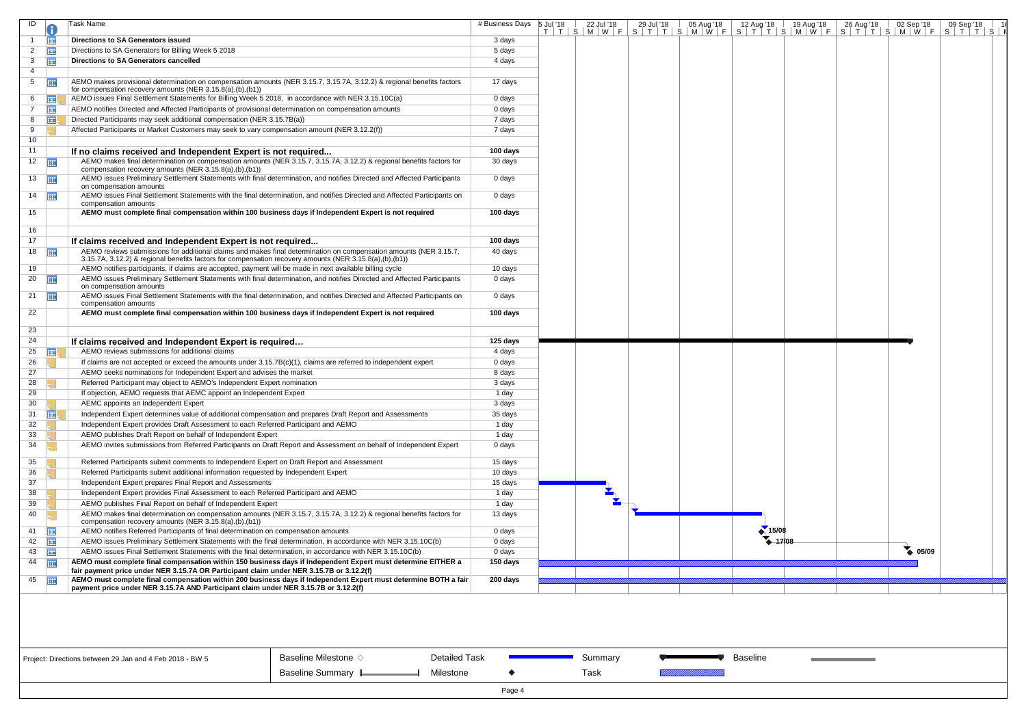| ID              |                       | Task Name                                                                                                                                                                                                                    | # Business Days | 5 Jul '18 | 22 Jul '18 | 29 Jul '18 | 05 Aug '18 | 12 Aug '18 | 19 Aug '18        | 26 Aug '18 | 02 Sep '18      | 09 Sep '18                                                                                                                    |  |
|-----------------|-----------------------|------------------------------------------------------------------------------------------------------------------------------------------------------------------------------------------------------------------------------|-----------------|-----------|------------|------------|------------|------------|-------------------|------------|-----------------|-------------------------------------------------------------------------------------------------------------------------------|--|
|                 | Ħ                     | <b>Directions to SA Generators issued</b>                                                                                                                                                                                    | 3 days          |           |            |            |            |            |                   |            |                 | T   T   S   M   W   F   S   T   T   S   M   W   F   S   T   T   S   M   W   F   S   T   T   S   M   W   F   S   T   T   S   I |  |
| 2               | <b>THE</b>            | Directions to SA Generators for Billing Week 5 2018                                                                                                                                                                          | 5 days          |           |            |            |            |            |                   |            |                 |                                                                                                                               |  |
| 3               | 用                     | <b>Directions to SA Generators cancelled</b>                                                                                                                                                                                 | 4 days          |           |            |            |            |            |                   |            |                 |                                                                                                                               |  |
| $\overline{4}$  |                       |                                                                                                                                                                                                                              |                 |           |            |            |            |            |                   |            |                 |                                                                                                                               |  |
| 5 <sup>5</sup>  | 噩                     | AEMO makes provisional determination on compensation amounts (NER 3.15.7, 3.15.7A, 3.12.2) & regional benefits factors<br>for compensation recovery amounts (NER 3.15.8(a),(b),(b1))                                         | 17 days         |           |            |            |            |            |                   |            |                 |                                                                                                                               |  |
| 6               | <b>HILL</b>           | AEMO issues Final Settlement Statements for Billing Week 5 2018, in accordance with NER 3.15.10C(a)                                                                                                                          | 0 days          |           |            |            |            |            |                   |            |                 |                                                                                                                               |  |
| $\overline{7}$  | 亜                     | AEMO notifies Directed and Affected Participants of provisional determination on compensation amounts                                                                                                                        | 0 days          |           |            |            |            |            |                   |            |                 |                                                                                                                               |  |
| 8               | ⊞                     | Directed Participants may seek additional compensation (NER 3.15.7B(a))                                                                                                                                                      | 7 days          |           |            |            |            |            |                   |            |                 |                                                                                                                               |  |
| 9               |                       | Affected Participants or Market Customers may seek to vary compensation amount (NER 3.12.2(f))                                                                                                                               | 7 days          |           |            |            |            |            |                   |            |                 |                                                                                                                               |  |
| 10 <sub>1</sub> |                       |                                                                                                                                                                                                                              |                 |           |            |            |            |            |                   |            |                 |                                                                                                                               |  |
| 11              |                       | If no claims received and Independent Expert is not required                                                                                                                                                                 | 100 days        |           |            |            |            |            |                   |            |                 |                                                                                                                               |  |
|                 | $12 \quad \boxed{11}$ | AEMO makes final determination on compensation amounts (NER 3.15.7, 3.15.7A, 3.12.2) & regional benefits factors for                                                                                                         | 30 days         |           |            |            |            |            |                   |            |                 |                                                                                                                               |  |
|                 |                       | compensation recovery amounts (NER 3.15.8(a),(b),(b1))                                                                                                                                                                       |                 |           |            |            |            |            |                   |            |                 |                                                                                                                               |  |
|                 | $13 \quad \boxed{11}$ | AEMO issues Preliminary Settlement Statements with final determination, and notifies Directed and Affected Participants<br>on compensation amounts                                                                           | 0 days          |           |            |            |            |            |                   |            |                 |                                                                                                                               |  |
|                 | $14$ $\frac{1}{2}$    | AEMO issues Final Settlement Statements with the final determination, and notifies Directed and Affected Participants on<br>compensation amounts                                                                             | 0 days          |           |            |            |            |            |                   |            |                 |                                                                                                                               |  |
| 15              |                       | AEMO must complete final compensation within 100 business days if Independent Expert is not required                                                                                                                         | 100 days        |           |            |            |            |            |                   |            |                 |                                                                                                                               |  |
| 16              |                       |                                                                                                                                                                                                                              |                 |           |            |            |            |            |                   |            |                 |                                                                                                                               |  |
| 17              |                       | If claims received and Independent Expert is not required                                                                                                                                                                    | 100 days        |           |            |            |            |            |                   |            |                 |                                                                                                                               |  |
|                 | $18$ $\frac{1}{2}$    | AEMO reviews submissions for additional claims and makes final determination on compensation amounts (NER 3.15.7,<br>3.15.7A, 3.12.2) & regional benefits factors for compensation recovery amounts (NER 3.15.8(a),(b),(b1)) | 40 days         |           |            |            |            |            |                   |            |                 |                                                                                                                               |  |
| 19              |                       | AEMO notifies participants, if claims are accepted, payment will be made in next available billing cycle                                                                                                                     | 10 days         |           |            |            |            |            |                   |            |                 |                                                                                                                               |  |
|                 | 20 $\Box$             | AEMO issues Preliminary Settlement Statements with final determination, and notifies Directed and Affected Participants<br>on compensation amounts                                                                           | 0 days          |           |            |            |            |            |                   |            |                 |                                                                                                                               |  |
|                 | 21 $\frac{1}{2}$      | AEMO issues Final Settlement Statements with the final determination, and notifies Directed and Affected Participants on<br>compensation amounts                                                                             | 0 days          |           |            |            |            |            |                   |            |                 |                                                                                                                               |  |
| 22              |                       | AEMO must complete final compensation within 100 business days if Independent Expert is not required                                                                                                                         | 100 days        |           |            |            |            |            |                   |            |                 |                                                                                                                               |  |
| 23              |                       |                                                                                                                                                                                                                              |                 |           |            |            |            |            |                   |            |                 |                                                                                                                               |  |
| 24              |                       | If claims received and Independent Expert is required                                                                                                                                                                        | 125 days        |           |            |            |            |            |                   |            |                 |                                                                                                                               |  |
| 25              | <b>THE</b>            | AEMO reviews submissions for additional claims                                                                                                                                                                               | 4 days          |           |            |            |            |            |                   |            |                 |                                                                                                                               |  |
| 26              |                       | If claims are not accepted or exceed the amounts under $3.15.7B(c)(1)$ , claims are referred to independent expert                                                                                                           | 0 days          |           |            |            |            |            |                   |            |                 |                                                                                                                               |  |
| 27              |                       | AEMO seeks nominations for Independent Expert and advises the market                                                                                                                                                         | 8 days          |           |            |            |            |            |                   |            |                 |                                                                                                                               |  |
| 28              |                       | Referred Participant may object to AEMO's Independent Expert nomination                                                                                                                                                      | 3 days          |           |            |            |            |            |                   |            |                 |                                                                                                                               |  |
| 29              |                       | If objection, AEMO requests that AEMC appoint an Independent Expert                                                                                                                                                          | 1 day           |           |            |            |            |            |                   |            |                 |                                                                                                                               |  |
| 30              |                       | AEMC appoints an Independent Expert                                                                                                                                                                                          | 3 days          |           |            |            |            |            |                   |            |                 |                                                                                                                               |  |
| 31              | $\mathbb{H}$          | Independent Expert determines value of additional compensation and prepares Draft Report and Assessments                                                                                                                     | 35 days         |           |            |            |            |            |                   |            |                 |                                                                                                                               |  |
| 32              |                       | Independent Expert provides Draft Assessment to each Referred Participant and AEMO                                                                                                                                           | 1 day           |           |            |            |            |            |                   |            |                 |                                                                                                                               |  |
| 33              |                       | AEMO publishes Draft Report on behalf of Independent Expert                                                                                                                                                                  | 1 day           |           |            |            |            |            |                   |            |                 |                                                                                                                               |  |
| 34              |                       | AEMO invites submissions from Referred Participants on Draft Report and Assessment on behalf of Independent Expert                                                                                                           | 0 days          |           |            |            |            |            |                   |            |                 |                                                                                                                               |  |
|                 |                       |                                                                                                                                                                                                                              |                 |           |            |            |            |            |                   |            |                 |                                                                                                                               |  |
| 35              |                       | Referred Participants submit comments to Independent Expert on Draft Report and Assessment                                                                                                                                   | 15 days         |           |            |            |            |            |                   |            |                 |                                                                                                                               |  |
| 36              |                       | Referred Participants submit additional information requested by Independent Expert                                                                                                                                          | 10 days         |           |            |            |            |            |                   |            |                 |                                                                                                                               |  |
| 37              |                       | Independent Expert prepares Final Report and Assessments                                                                                                                                                                     | 15 days         |           |            |            |            |            |                   |            |                 |                                                                                                                               |  |
| 38              |                       | Independent Expert provides Final Assessment to each Referred Participant and AEMO                                                                                                                                           | 1 day           |           |            |            |            |            |                   |            |                 |                                                                                                                               |  |
| 39              |                       | AEMO publishes Final Report on behalf of Independent Expert                                                                                                                                                                  | 1 day           |           |            |            |            |            |                   |            |                 |                                                                                                                               |  |
| 40              |                       | AEMO makes final determination on compensation amounts (NER 3.15.7, 3.15.7A, 3.12.2) & regional benefits factors for<br>compensation recovery amounts (NER 3.15.8(a),(b),(b1))                                               | 13 days         |           |            |            |            |            |                   |            |                 |                                                                                                                               |  |
| 41              | <b>HH</b>             | AEMO notifies Referred Participants of final determination on compensation amounts                                                                                                                                           | 0 days          |           |            |            |            | 15/08      |                   |            |                 |                                                                                                                               |  |
| 42              | 噩                     | AEMO issues Preliminary Settlement Statements with the final determination, in accordance with NER 3.15.10C(b)                                                                                                               | 0 days          |           |            |            |            |            | $\triangle$ 17/08 |            |                 |                                                                                                                               |  |
| 43              | <b>FIE</b>            | AEMO issues Final Settlement Statements with the final determination, in accordance with NER 3.15.10C(b)                                                                                                                     | 0 days          |           |            |            |            |            |                   |            | $\bullet$ 05/09 |                                                                                                                               |  |
| 44              | 亜                     | AEMO must complete final compensation within 150 business days if Independent Expert must determine EITHER a                                                                                                                 | 150 days        |           |            |            |            |            |                   |            |                 |                                                                                                                               |  |
|                 |                       | fair payment price under NER 3.15.7A OR Participant claim under NER 3.15.7B or 3.12.2(f)                                                                                                                                     |                 |           |            |            |            |            |                   |            |                 |                                                                                                                               |  |
|                 | 45                    | AEMO must complete final compensation within 200 business days if Independent Expert must determine BOTH a fair<br>payment price under NER 3.15.7A AND Participant claim under NER 3.15.7B or 3.12.2(f)                      | 200 days        |           |            |            |            |            |                   |            |                 |                                                                                                                               |  |
|                 |                       |                                                                                                                                                                                                                              |                 |           |            |            |            |            |                   |            |                 |                                                                                                                               |  |

Summary Task

**Baseline** 



Detailed Task

Milestone

 $\blacklozenge$ 

| Project: Directions between 29 Jan and 4 Feb 2018 - BW 5 |  |  |
|----------------------------------------------------------|--|--|
|                                                          |  |  |

Baseline Milestone  $\diamond$ Baseline Summary L